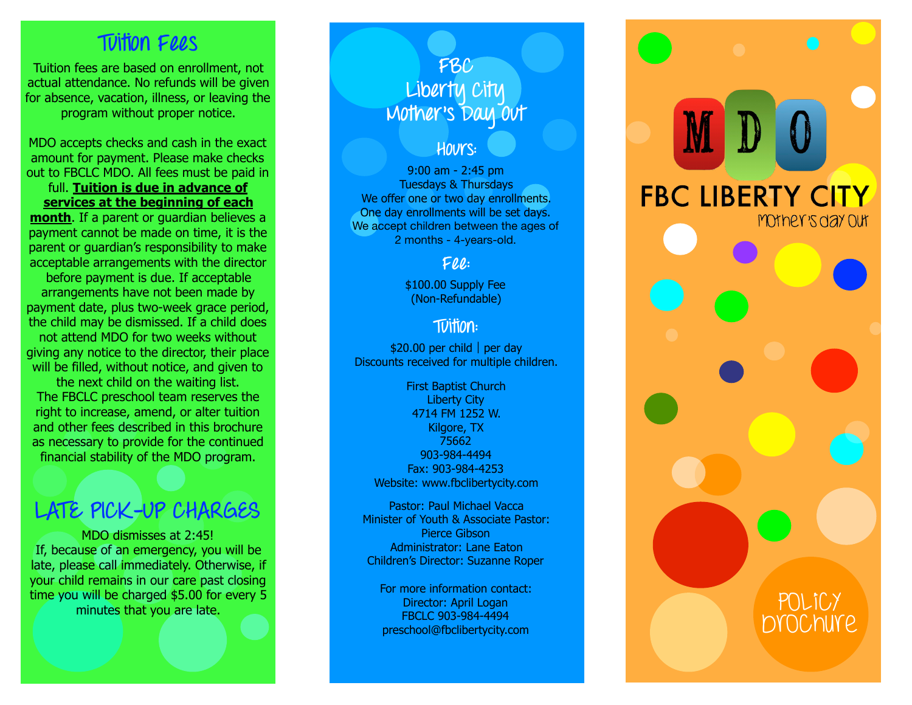## **Tuition Fees**

Tuition fees are based on enrollment, not actual attendance. No refunds will be given for absence, vacation, illness, or leaving the program without proper notice.

MDO accepts checks and cash in the exact amount for payment. Please make checks out to FBCLC MDO. All fees must be paid in

full. **Tuition is due in advance of services at the beginning of each month**. If a parent or guardian believes a payment cannot be made on time, it is the parent or guardian's responsibility to make acceptable arrangements with the director

before payment is due. If acceptable arrangements have not been made by payment date, plus two-week grace period, the child may be dismissed. If a child does not attend MDO for two weeks without giving any notice to the director, their place will be filled, without notice, and given to

the next child on the waiting list. The FBCLC preschool team reserves the right to increase, amend, or alter tuition and other fees described in this brochure as necessary to provide for the continued financial stability of the MDO program.

## **LATE PICK-UP CHARGES**

MDO dismisses at 2:45! If, because of an emergency, you will be late, please call immediately. Otherwise, if your child remains in our care past closing time you will be charged \$5.00 for every 5 minutes that you are late.

## **FBC Liberty City Mother's Day Out**

### **Hours:**

9:00 am - 2:45 pm Tuesdays & Thursdays We offer one or two day enrollments. One day enrollments will be set days. We accept children between the ages of 2 months - 4-years-old.

### **Fee:**

\$100.00 Supply Fee (Non-Refundable)

## **Tuition:**

\$20.00 per child |per day Discounts received for multiple children.

First Baptist Church Liberty City 4714 FM 1252 W. Kilgore, TX 75662 903-984-4494 Fax: 903-984-4253 Website: www[.fbclibertycity.com](http://fbclibertycity.com)

Pastor: Paul Michael Vacca Minister of Youth & Associate Pastor: Pierce Gibson Administrator: Lane Eaton Children's Director: Suzanne Roper

For more information contact: Director: April Logan FBCLC 903-984-4494 preschool@fbclibertycity.com

# **FBC LIBERTY CITY** Mother's day out Policy Brochure